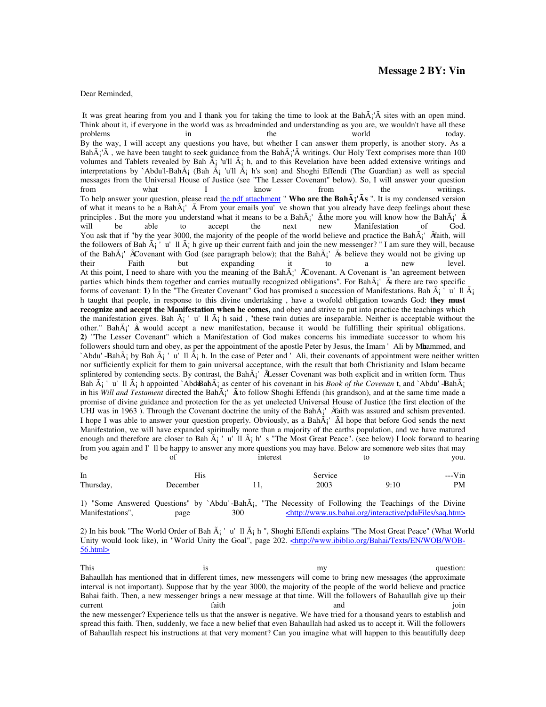Dear Reminded,

It was great hearing from you and I thank you for taking the time to look at the BahÂi'Â sites with an open mind. Think about it, if everyone in the world was as broadminded and understanding as you are, we wouldn't have all these problems in problems in the world today. By the way, I will accept any questions you have, but whether I can answer them properly, is another story. As a Bah $\tilde{A}$ ' $\tilde{A}$ , we have been taught to seek guidance from the Bah $\tilde{A}$ ' $\tilde{A}$  writings. Our Holy Text comprises more than 100 volumes and Tablets revealed by Bah  $\tilde{A}$  'u'll  $\tilde{A}$  h, and to this Revelation have been added extensive writings and interpretations by `Abdu'l-Bah $\tilde{A}$  (Bah  $\tilde{A}$  'u'll  $\tilde{A}$  h's son) and Shoghi Effendi (The Guardian) as well as special messages from the Universal House of Justice (see "The Lesser Covenant" below). So, I will answer your question from what I know from the writings. To help answer your question, please read the pdf attachment " **Who are the Bah** $\tilde{A}$ ;  $\tilde{A}$ s ". It is my condensed version of what it means to be a Bah $\tilde{A}$ <sup>'</sup>  $\tilde{A}$  From your emails you've shown that you already have deep feelings about these principles . But the more you understand what it means to be a Bah $\tilde{A}$ ;  $\tilde{A}$  Athe more you will know how the Bah $\tilde{A}$ ;  $\tilde{A}$ will be able to accept the next new Manifestation of God. You ask that if "by the year 3000, the majority of the people of the world believe and practice the Bah $\tilde{A}$ ;  $\tilde{A}$   $\tilde{A}$ ith, will the followers of Bah  $\tilde{A}$ ; 'u'll  $\tilde{A}$ ; h give up their current faith and join the new messenger? " I am sure they will, because of the Bah $\tilde{A}$ <sup>'</sup>  $\tilde{A}$ Covenant with God (see paragraph below); that the Bah $\tilde{A}$ <sup>'</sup>  $\tilde{A}$ 's believe they would not be giving up their Faith but expanding it to a new level. At this point, I need to share with you the meaning of the Bah $\tilde{A}$ '  $\tilde{A}$ Covenant. A Covenant is "an agreement between parties which binds them together and carries mutually recognized obligations". For  $Bah\tilde{A}$ ;  $\tilde{A}$  there are two specific forms of covenant: 1) In the "The Greater Covenant" God has promised a succession of Manifestations. Bah  $\tilde{A}$ ; u'll  $\tilde{A}$ ; h taught that people, in response to this divine undertaking , have a twofold obligation towards God: **they must recognize and accept the Manifestation when he comes,** and obey and strive to put into practice the teachings which the manifestation gives. Bah  $\tilde{A}$  'u'll  $\tilde{A}$  h said, "these twin duties are inseparable. Neither is acceptable without the other." Bah $\tilde{A}$ ;  $\tilde{A}$  would accept a new manifestation, because it would be fulfilling their spiritual obligations. **2)** "The Lesser Covenant" which a Manifestation of God makes concerns his immediate successor to whom his followers should turn and obey, as per the appointment of the apostle Peter by Jesus, the Imam 'Ali by Mhammed, and `Abdu'-Bah $\tilde{A}$ ; by Bah  $\tilde{A}$ ; 'u'll  $\tilde{A}$ ; h. In the case of Peter and 'Ali, their covenants of appointment were neither written nor sufficiently explicit for them to gain universal acceptance, with the result that both Christianity and Islam became splintered by contending sects. By contrast, the Bah $\tilde{A}$ '  $\tilde{A}$ Lesser Covenant was both explicit and in written form. Thus Bah  $\tilde{A}_i$ <sup>'</sup> u'll  $\tilde{A}_i$  h appointed `AbduBah $\tilde{A}_i$  as center of his covenant in his *Book of the Covenan* t, and `Abdu'-Bah $\tilde{A}_i$ in his *Will and Testament* directed the BahÂ<sub>i</sub>' Â to follow Shoghi Effendi (his grandson), and at the same time made a promise of divine guidance and protection for the as yet unelected Universal House of Justice (the first election of the UHJ was in 1963 ). Through the Covenant doctrine the unity of the Bah $\tilde{A}$ <sup>'</sup>  $\tilde{A}$ aith was assured and schism prevented. I hope I was able to answer your question properly. Obviously, as a Bah $\tilde{A}$ '  $\tilde{A}$ I hope that before God sends the next Manifestation, we will have expanded spiritually more than a majority of the earths population, and we have matured enough and therefore are closer to Bah  $\tilde{A}$ ; 'u'll  $\tilde{A}$  h's "The Most Great Peace". (see below) I look forward to hearing from you again and I'll be happy to answer any more questions you may have. Below are somemore web sites that may be of interest to you.

| <sub>1</sub> n |          |  | Service |      | $--V$ in |
|----------------|----------|--|---------|------|----------|
| Thursday,      | December |  | 2003    | 9:10 | PM       |

1) "Some Answered Questions" by `Abdu'-BahÂ;, "The Necessity of Following the Teachings of the Divine Manifestations", page 300 <http://www.us.bahai.org/interactive/pdaFiles/saq.htm>

2) In his book "The World Order of Bah  $\tilde{A}_i$  'u'll  $\tilde{A}_i$  h ", Shoghi Effendi explains "The Most Great Peace" (What World Unity would look like), in "World Unity the Goal", page 202. <http://www.ibiblio.org/Bahai/Texts/EN/WOB/WOB-56.html>

This is is my my question: Bahaullah has mentioned that in different times, new messengers will come to bring new messages (the approximate interval is not important). Suppose that by the year 3000, the majority of the people of the world believe and practice Bahai faith. Then, a new messenger brings a new message at that time. Will the followers of Bahaullah give up their current the faith and and join the new messenger? Experience tells us that the answer is negative. We have tried for a thousand years to establish and spread this faith. Then, suddenly, we face a new belief that even Bahaullah had asked us to accept it. Will the followers of Bahaullah respect his instructions at that very moment? Can you imagine what will happen to this beautifully deep